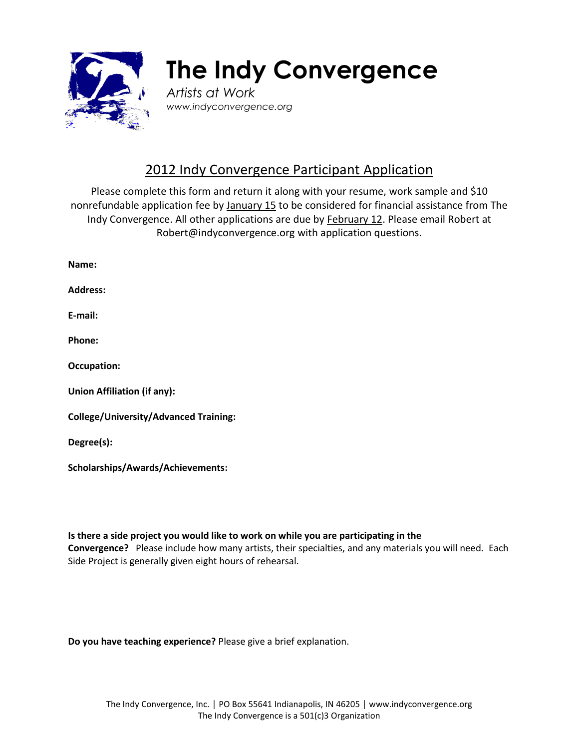

## **The Indy Convergence**

*Artists at Work www.indyconvergence.org*

## 2012 Indy Convergence Participant Application

Please complete this form and return it along with your resume, work sample and \$10 nonrefundable application fee by January 15 to be considered for financial assistance from The Indy Convergence. All other applications are due by February 12. Please email Robert at [Robert@indyconvergence.org](mailto:Robert@indyconvergence.org) with application questions.

| Name:                                        |
|----------------------------------------------|
| <b>Address:</b>                              |
| E-mail:                                      |
| Phone:                                       |
| <b>Occupation:</b>                           |
| <b>Union Affiliation (if any):</b>           |
| <b>College/University/Advanced Training:</b> |
| Degree(s):                                   |
| <b>Scholarships/Awards/Achievements:</b>     |

**Is there a side project you would like to work on while you are participating in the Convergence?** Please include how many artists, their specialties, and any materials you will need. Each Side Project is generally given eight hours of rehearsal.

**Do you have teaching experience?** Please give a brief explanation.